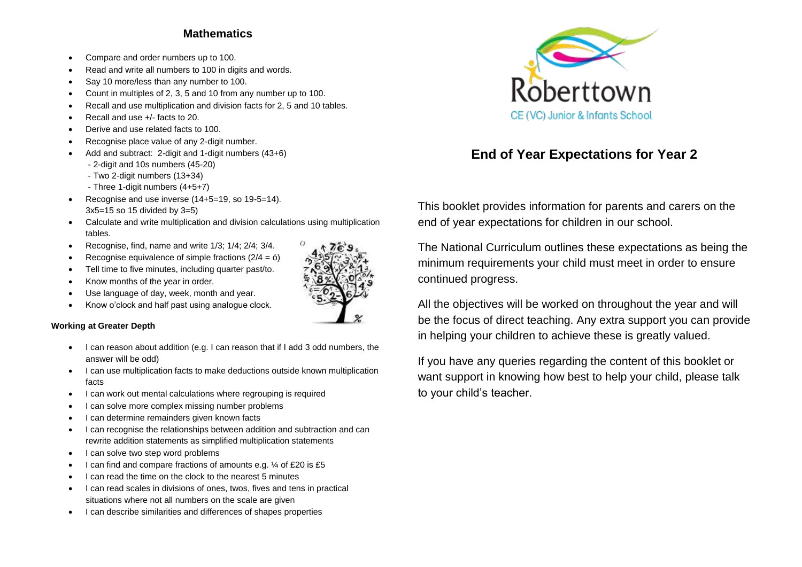### **Mathematics**

- Compare and order numbers up to 100.
- Read and write all numbers to 100 in digits and words.
- Say 10 more/less than any number to 100.
- Count in multiples of 2, 3, 5 and 10 from any number up to 100.
- Recall and use multiplication and division facts for 2, 5 and 10 tables.
- Recall and use +/- facts to 20.
- Derive and use related facts to 100.
- Recognise place value of any 2-digit number.
- Add and subtract: 2-digit and 1-digit numbers (43+6)
	- 2-digit and 10s numbers (45-20)
	- Two 2-digit numbers (13+34)
	- Three 1-digit numbers (4+5+7)
- Recognise and use inverse  $(14+5=19, so 19-5=14)$ . 3x5=15 so 15 divided by 3=5)
- Calculate and write multiplication and division calculations using multiplication tables.
- Recognise, find, name and write  $1/3$ ;  $1/4$ ;  $2/4$ ;  $3/4$ .
- Recognise equivalence of simple fractions  $(2/4 = 6)$
- Tell time to five minutes, including quarter past/to.
- Know months of the year in order.
- Use language of day, week, month and year.
- Know o'clock and half past using analogue clock.

#### **Working at Greater Depth**

- I can reason about addition (e.g. I can reason that if I add 3 odd numbers, the answer will be odd)
- I can use multiplication facts to make deductions outside known multiplication facts
- I can work out mental calculations where regrouping is required
- I can solve more complex missing number problems
- I can determine remainders given known facts
- I can recognise the relationships between addition and subtraction and can rewrite addition statements as simplified multiplication statements
- I can solve two step word problems
- $\bullet$  I can find and compare fractions of amounts e.g.  $\frac{1}{4}$  of £20 is £5
- I can read the time on the clock to the nearest 5 minutes
- I can read scales in divisions of ones, twos, fives and tens in practical situations where not all numbers on the scale are given
- I can describe similarities and differences of shapes properties



# **End of Year Expectations for Year 2**

This booklet provides information for parents and carers on the end of year expectations for children in our school.

The National Curriculum outlines these expectations as being the minimum requirements your child must meet in order to ensure continued progress.

All the objectives will be worked on throughout the year and will be the focus of direct teaching. Any extra support you can provide in helping your children to achieve these is greatly valued.

If you have any queries regarding the content of this booklet or want support in knowing how best to help your child, please talk to your child's teacher.